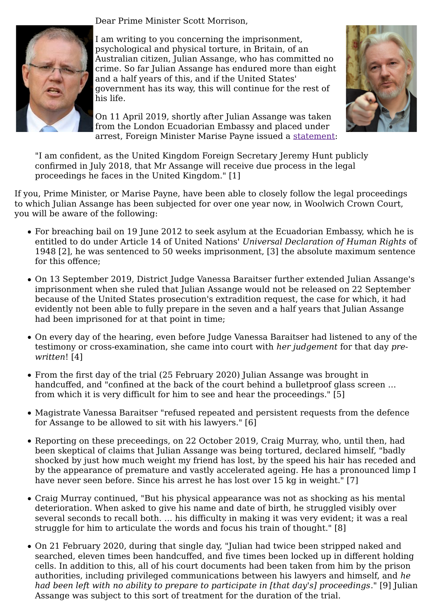Dear Prime Minister Scott Morrison,



I am writing to you concerning the imprisonment, psychological and physical torture, in Britain, of an Australian citizen, Julian Assange, who has committed no crime. So far Julian Assange has endured more than eight and a half years of this, and if the United States' government has its way, this will continue for the rest of his life.

On 11 April 2019, shortly after Julian Assange was taken from the London Ecuadorian Embassy and placed under arrest, Foreign Minister Marise Payne issued a statement:



"I am confident, as the United Kingdom Foreign Secretary Jeremy Hunt publicly confirmed in July 2018, that Mr Assange will receive due process in the legal proceedings he faces in the United Kingdom." [1]

If you, Prime Minister, or Marise Payne, have been able to closely follow the legal proceedings to which Julian Assange has been subjected for over one year now, in Woolwich Crown Court, you will be aware of the following:

- For breaching bail on 19 June 2012 to seek asylum at the Ecuadorian Embassy, which he is entitled to do under Article 14 of United Nations' *Universal Declaration of Human Rights* of 1948 [2], he was sentenced to 50 weeks imprisonment, [3] the absolute maximum sentence for this offence;
- On 13 September 2019, District Judge Vanessa Baraitser further extended Julian Assange's imprisonment when she ruled that Julian Assange would not be released on 22 September because of the United States prosecution's extradition request, the case for which, it had evidently not been able to fully prepare in the seven and a half years that Julian Assange had been imprisoned for at that point in time;
- On every day of the hearing, even before Judge Vanessa Baraitser had listened to any of the testimony or cross-examination, she came into court with *her judgement* for that day *prewritten*! [4]
- From the first day of the trial (25 February 2020) Julian Assange was brought in handcuffed, and "confined at the back of the court behind a bulletproof glass screen … from which it is very difficult for him to see and hear the proceedings." [5]
- Magistrate Vanessa Baraitser "refused repeated and persistent requests from the defence for Assange to be allowed to sit with his lawyers." [6]
- Reporting on these preceedings, on 22 October 2019, Craig Murray, who, until then, had been skeptical of claims that Julian Assange was being tortured, declared himself, "badly shocked by just how much weight my friend has lost, by the speed his hair has receded and by the appearance of premature and vastly accelerated ageing. He has a pronounced limp I have never seen before. Since his arrest he has lost over 15 kg in weight." [7]
- Craig Murray continued, "But his physical appearance was not as shocking as his mental deterioration. When asked to give his name and date of birth, he struggled visibly over several seconds to recall both. … his difficulty in making it was very evident; it was a real struggle for him to articulate the words and focus his train of thought." [8]
- On 21 February 2020, during that single day, "Julian had twice been stripped naked and searched, eleven times been handcuffed, and five times been locked up in different holding cells. In addition to this, all of his court documents had been taken from him by the prison authorities, including privileged communications between his lawyers and himself, and *he had been left with no ability to prepare to participate in [that day's] proceedings*." [9] Julian Assange was subject to this sort of treatment for the duration of the trial.